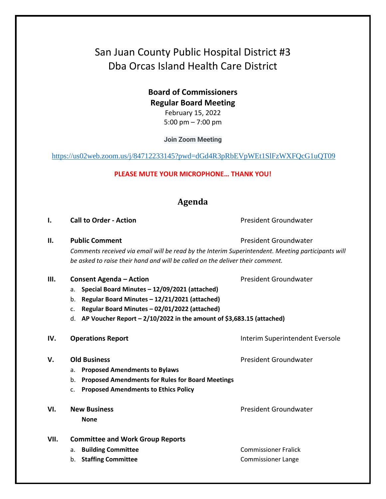# San Juan County Public Hospital District #3 Dba Orcas Island Health Care District

## **Board of Commissioners Regular Board Meeting**

February 15, 2022 5:00 pm – 7:00 pm

**Join Zoom Meeting**

<https://us02web.zoom.us/j/84712233145?pwd=dGd4R3pRbEVpWEt1SlFzWXFQcG1uQT09>

#### **PLEASE MUTE YOUR MICROPHONE… THANK YOU!**

### **Agenda**

**I. Call to Order - Action** President Groundwater

**II. Public Comment President Groundwater President Groundwater** 

*Comments received via email will be read by the Interim Superintendent. Meeting participants will be asked to raise their hand and will be called on the deliver their comment.*

- **III. Consent Agenda Action Consexual Action President Groundwater** 
	- a. **Special Board Minutes – 12/09/2021 (attached)**
	- b. **Regular Board Minutes – 12/21/2021 (attached)**
	- c. **Regular Board Minutes – 02/01/2022 (attached)**
	- d. **AP Voucher Report – 2/10/2022 in the amount of \$3,683.15 (attached)**

#### **IV. Operations Report IV. Department Eversole Interim Superintendent Eversole**

#### **V. Old Business** President Groundwater

- a. **Proposed Amendments to Bylaws**
- b. **Proposed Amendments for Rules for Board Meetings**
- c. **Proposed Amendments to Ethics Policy**
- **VI.** New Business **President Groundwater President Groundwater None**

- **VII. Committee and Work Group Reports** 
	-
	- b. **Staffing Committee Commissioner Lange** Commissioner Lange

a. **Building Committee Commissioner Fralick Commissioner Fralick**